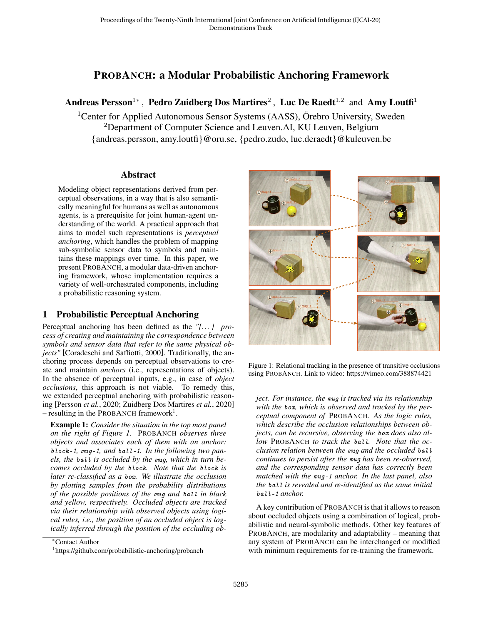# PROBANCH: a Modular Probabilistic Anchoring Framework

Andreas Persson $^{1*}$  , Pedro Zuidberg Dos Martires $^2$  , Luc De Raedt $^{1,2}\,$  and Amy Loutfi $^1$ 

<sup>1</sup>Center for Applied Autonomous Sensor Systems (AASS), Örebro University, Sweden <sup>2</sup>Department of Computer Science and Leuven.AI, KU Leuven, Belgium {andreas.persson, amy.loutfi}@oru.se, {pedro.zudo, luc.deraedt}@kuleuven.be

### **Abstract**

Modeling object representations derived from perceptual observations, in a way that is also semantically meaningful for humans as well as autonomous agents, is a prerequisite for joint human-agent understanding of the world. A practical approach that aims to model such representations is *perceptual anchoring*, which handles the problem of mapping sub-symbolic sensor data to symbols and maintains these mappings over time. In this paper, we present PROBANCH, a modular data-driven anchoring framework, whose implementation requires a variety of well-orchestrated components, including a probabilistic reasoning system.

# <span id="page-0-2"></span>1 Probabilistic Perceptual Anchoring

Perceptual anchoring has been defined as the *"[. . . ] process of creating and maintaining the correspondence between symbols and sensor data that refer to the same physical objects"* [\[Coradeschi and Saffiotti, 2000\]](#page-2-0). Traditionally, the anchoring process depends on perceptual observations to create and maintain *anchors* (i.e., representations of objects). In the absence of perceptual inputs, e.g., in case of *object occlusions*, this approach is not viable. To remedy this, we extended perceptual anchoring with probabilistic reasoning [\[Persson](#page-2-1) *et al.*, 2020; [Zuidberg Dos Martires](#page-2-2) *et al.*, 2020]  $-$  resulting in the PROBANCH framework<sup>[1](#page-0-0)</sup>.

Example 1: *Consider the situation in the top most panel on the right of Figure [1.](#page-0-1)* PROBANCH *observes three objects and associates each of them with an anchor:* block-1*,* mug-1*, and* ball-1*. In the following two panels, the* ball *is occluded by the* mug*, which in turn becomes occluded by the* block*. Note that the* block *is later re-classified as a* box*. We illustrate the occlusion by plotting samples from the probability distributions of the possible positions of the* mug *and* ball *in black and yellow, respectively. Occluded objects are tracked via their relationship with observed objects using logical rules, i.e., the position of an occluded object is logically inferred through the position of the occluding ob-*

<span id="page-0-1"></span>

Figure 1: Relational tracking in the presence of transitive occlusions using PROBANCH. Link to video:<https://vimeo.com/388874421>

*ject. For instance, the* mug *is tracked via its relationship with the* box*, which is observed and tracked by the perceptual component of* PROBANCH*. As the logic rules, which describe the occlusion relationships between objects, can be recursive, observing the* box *does also allow* PROBANCH *to track the* ball*. Note that the occlusion relation between the* mug *and the occluded* ball *continues to persist after the* mug *has been re-observed, and the corresponding sensor data has correctly been matched with the* mug-1 *anchor. In the last panel, also the* ball *is revealed and re-identified as the same initial* ball-1 *anchor.*

A key contribution of PROBANCH is that it allows to reason about occluded objects using a combination of logical, probabilistic and neural-symbolic methods. Other key features of PROBANCH, are modularity and adaptability – meaning that any system of PROBANCH can be interchanged or modified with minimum requirements for re-training the framework.

<sup>∗</sup>Contact Author

<span id="page-0-0"></span><sup>&</sup>lt;sup>1</sup><https://github.com/probabilistic-anchoring/probanch>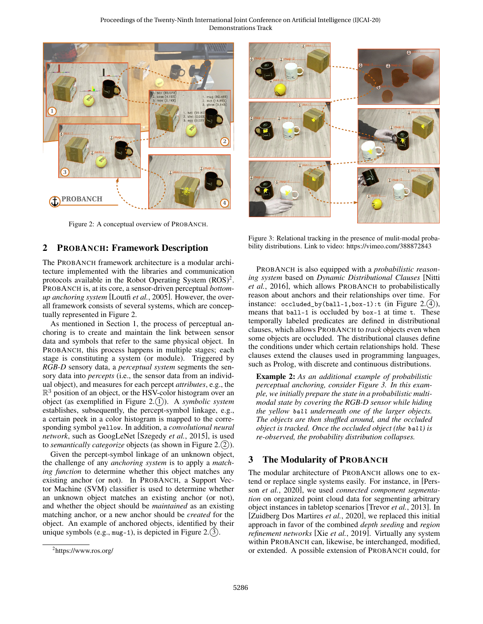<span id="page-1-1"></span>Proceedings of the Twenty-Ninth International Joint Conference on Artificial Intelligence (IJCAI-20) Demonstrations Track



Figure 2: A conceptual overview of PROBANCH.

#### 2 PROBANCH: Framework Description

The PROBANCH framework architecture is a modular architecture implemented with the libraries and communication protocols available in the Robot Operating System  $(ROS)^2$  $(ROS)^2$ . PROBANCH is, at its core, a sensor-driven perceptual *bottomup anchoring system* [Loutfi *et al.*[, 2005\]](#page-2-3). However, the overall framework consists of several systems, which are conceptually represented in Figure [2.](#page-1-1)

As mentioned in Section [1,](#page-0-2) the process of perceptual anchoring is to create and maintain the link between sensor data and symbols that refer to the same physical object. In PROBANCH, this process happens in multiple stages; each stage is constituting a system (or module). Triggered by *RGB-D* sensory data, a *perceptual system* segments the sensory data into *percepts* (i.e., the sensor data from an individual object), and measures for each percept *attributes*, e.g., the  $\mathbb{R}^3$  position of an object, or the HSV-color histogram over an object (as exemplified in Figure [2.](#page-1-1)(1)). A *symbolic system* establishes, subsequently, the percept-symbol linkage, e.g., a certain peek in a color histogram is mapped to the corresponding symbol yellow. In addition, a *convolutional neural network*, such as GoogLeNet [\[Szegedy](#page-2-4) *et al.*, 2015], is used to *semantically categorize* objects (as shown in Figure [2.](#page-1-1)(2)).

Given the percept-symbol linkage of an unknown object, the challenge of any *anchoring system* is to apply a *matching function* to determine whether this object matches any existing anchor (or not). In PROBANCH, a Support Vector Machine (SVM) classifier is used to determine whether an unknown object matches an existing anchor (or not), and whether the object should be *maintained* as an existing matching anchor, or a new anchor should be *created* for the object. An example of anchored objects, identified by their unique symbols (e.g.,  $mug-1$ ), is depicted in Figure [2.](#page-1-1)(3).

<span id="page-1-2"></span>

Figure 3: Relational tracking in the presence of mulit-modal probability distributions. Link to video:<https://vimeo.com/388872843>

PROBANCH is also equipped with a *probabilistic reasoning system* based on *Dynamic Distributional Clauses* [\[Nitti](#page-2-5) *et al.*[, 2016\]](#page-2-5), which allows PROBANCH to probabilistically reason about anchors and their relationships over time. For instance:  $occulated_by(ball-1, box-1):t$  (in Figure [2.](#page-1-1)(4)), means that ball-1 is occluded by box-1 at time t. These temporally labeled predicates are defined in distributional clauses, which allows PROBANCH to *track* objects even when some objects are occluded. The distributional clauses define the conditions under which certain relationships hold. These clauses extend the clauses used in programming languages, such as Prolog, with discrete and continuous distributions.

Example 2: *As an additional example of probabilistic perceptual anchoring, consider Figure [3.](#page-1-2) In this example, we initially prepare the state in a probabilistic multimodal state by covering the RGB-D sensor while hiding the yellow* ball *underneath one of the larger objects. The objects are then shuffled around, and the occluded object is tracked. Once the occluded object (the* ball*) is re-observed, the probability distribution collapses.*

#### 3 The Modularity of PROBANCH

The modular architecture of PROBANCH allows one to extend or replace single systems easily. For instance, in [\[Pers](#page-2-1)son *et al.*[, 2020\]](#page-2-1), we used *connected component segmentation* on organized point cloud data for segmenting arbitrary object instances in tabletop scenarios [\[Trevor](#page-2-6) *et al.*, 2013]. In [\[Zuidberg Dos Martires](#page-2-2) *et al.*, 2020], we replaced this initial approach in favor of the combined *depth seeding* and *region refinement networks* [Xie *et al.*[, 2019\]](#page-2-7). Virtually any system within PROBANCH can, likewise, be interchanged, modified, or extended. A possible extension of PROBANCH could, for

<span id="page-1-0"></span><sup>&</sup>lt;sup>2</sup>https://www.ros.org/